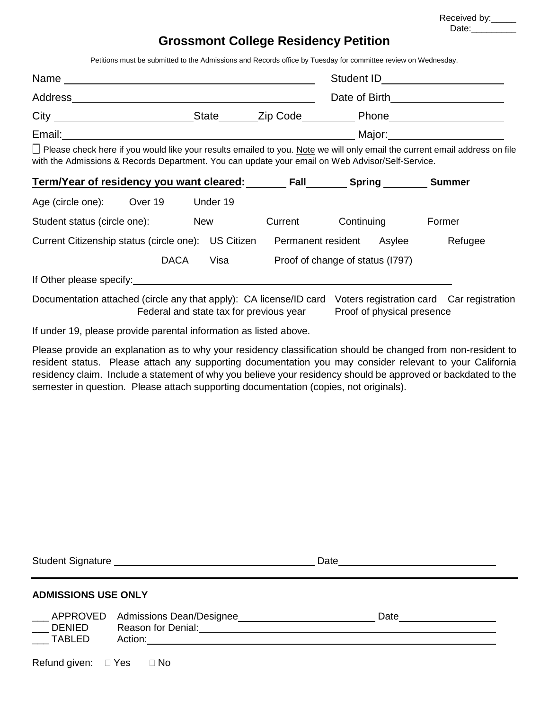| Received by: |  |  |
|--------------|--|--|
| Date:        |  |  |

## **Grossmont College Residency Petition**

Petitions must be submitted to the Admissions and Records office by Tuesday for committee review on Wednesday.

| Name    |              |          | Student ID                                                                                                                      |  |
|---------|--------------|----------|---------------------------------------------------------------------------------------------------------------------------------|--|
| Address |              |          | Date of Birth                                                                                                                   |  |
| City    | <b>State</b> | Zip Code | <b>Phone</b>                                                                                                                    |  |
| Email:  |              |          | Major:                                                                                                                          |  |
|         |              |          | $\Box$ Please aboak bere if you would like your results emailed to you. Note we will only email the qurrent email address on fi |  |

∐ Please check here if you would like your results emailed to you. Note we will only email the current email address on file with the Admissions & Records Department. You can update your email on Web Advisor/Self-Service.

| Term/Year of residency you want cleared: |             |            |                   | Fall    | <b>Spring</b>                    |        | <b>Summer</b> |
|------------------------------------------|-------------|------------|-------------------|---------|----------------------------------|--------|---------------|
| Age (circle one):                        | Over 19     |            | Under 19          |         |                                  |        |               |
| Student status (circle one):             |             | <b>New</b> |                   | Current | Continuing                       |        | Former        |
| Current Citizenship status (circle one): |             |            | <b>US Citizen</b> |         | Permanent resident               | Asylee | Refugee       |
|                                          | <b>DACA</b> |            | Visa              |         | Proof of change of status (1797) |        |               |
| If Other please specify:                 |             |            |                   |         |                                  |        |               |
|                                          |             |            |                   |         |                                  |        |               |

Documentation attached (circle any that apply): CA license/ID card Voters registration card Car registration Federal and state tax for previous year Proof of physical presence

If under 19, please provide parental information as listed above.

Please provide an explanation as to why your residency classification should be changed from non-resident to resident status. Please attach any supporting documentation you may consider relevant to your California residency claim. Include a statement of why you believe your residency should be approved or backdated to the semester in question. Please attach supporting documentation (copies, not originals).

| Student Signature Management Control of the Student Signature Management Control of the Student Control of the | Date                                                                                                                                                                                                                           |  |
|----------------------------------------------------------------------------------------------------------------|--------------------------------------------------------------------------------------------------------------------------------------------------------------------------------------------------------------------------------|--|
| <b>ADMISSIONS USE ONLY</b>                                                                                     |                                                                                                                                                                                                                                |  |
| Reason for Denial: <u>___________________</u><br><b>DENIED</b><br><b>TABLED</b>                                | Date and the state of the state of the state of the state of the state of the state of the state of the state of the state of the state of the state of the state of the state of the state of the state of the state of the s |  |
| Refund given: $\Box$ Yes<br>⊟ No                                                                               |                                                                                                                                                                                                                                |  |